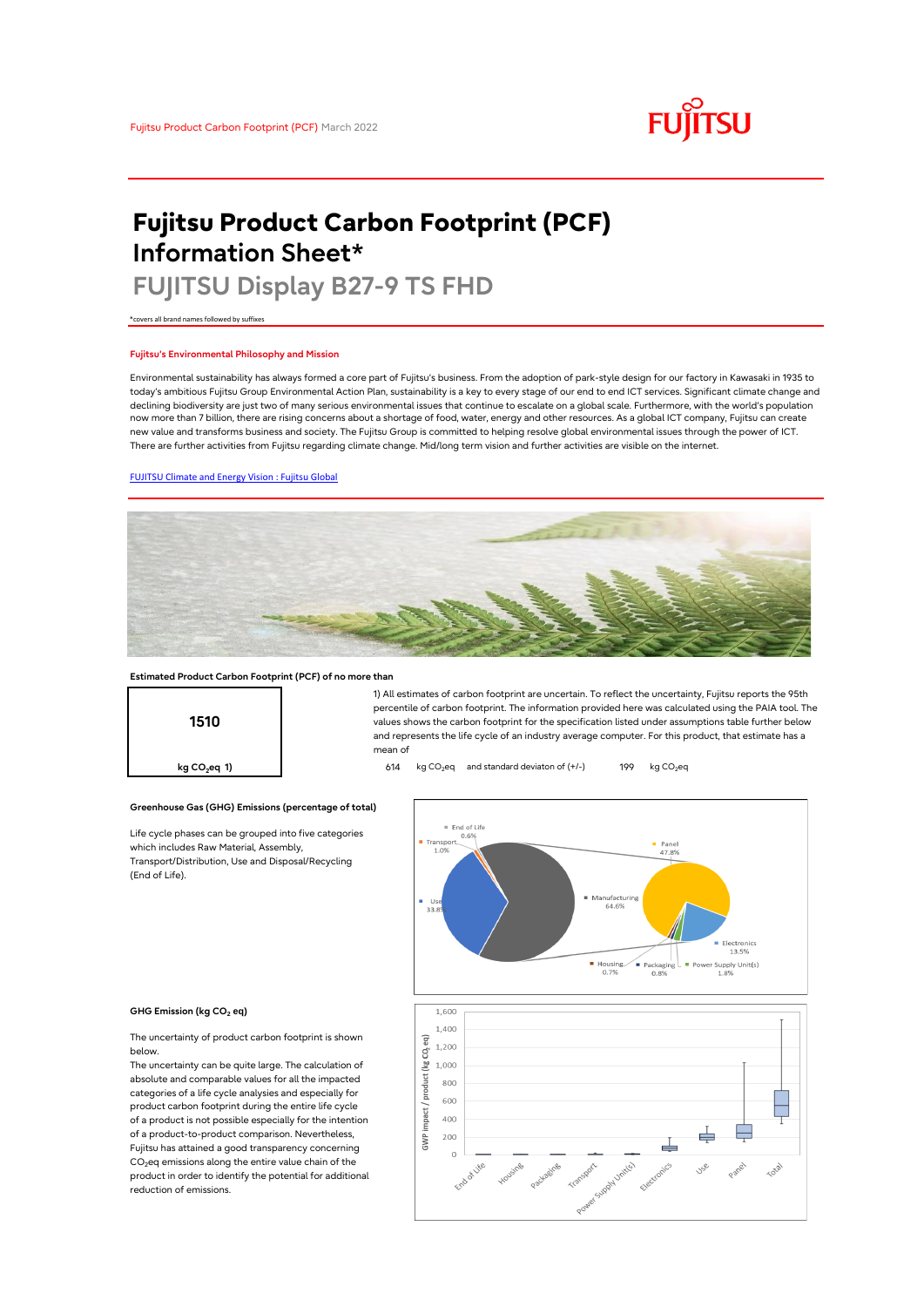# **FUJITSU**

# **Fujitsu Product Carbon Footprint (PCF) Information Sheet\***

# **FUJITSU Display B27-9 TS FHD**

\*covers all brand names followed by suffixes

## **Fujitsu's Environmental Philosophy and Mission**

Environmental sustainability has always formed a core part of Fujitsu's business. From the adoption of park-style design for our factory in Kawasaki in 1935 to today's ambitious Fujitsu Group Environmental Action Plan, sustainability is a key to every stage of our end to end ICT services. Significant climate change and declining biodiversity are just two of many serious environmental issues that continue to escalate on a global scale. Furthermore, with the world's population now more than 7 billion, there are rising concerns about a shortage of food, water, energy and other resources. As a global ICT company, Fujitsu can create new value and transforms business and society. The Fujitsu Group is committed to helping resolve global environmental issues through the power of ICT. There are further activities from Fujitsu regarding climate change. Mid/long term vision and further activities are visible on the internet.

# [FUJITSU Climate and Energy Vision : Fujitsu Global](https://www.fujitsu.com/global/about/environment/climate-energy-vision/)



mean of

### **Estimated Product Carbon Footprint (PCF) of no more than**



**Greenhouse Gas (GHG) Emissions (percentage of total)**

Life cycle phases can be grouped into five categories which includes Raw Material, Assembly, Transport/Distribution, Use and Disposal/Recycling (End of Life).



1) All estimates of carbon footprint are uncertain. To reflect the uncertainty, Fujitsu reports the 95th percentile of carbon footprint. The information provided here was calculated using the PAIA tool. The values shows the carbon footprint for the specification listed under assumptions table further below and represents the life cycle of an industry average computer. For this product, that estimate has a

#### **GHG Emission (kg CO<sup>2</sup> eq)**

The uncertainty of product carbon footprint is shown below.

The uncertainty can be quite large. The calculation of absolute and comparable values for all the impacted categories of a life cycle analysies and especially for product carbon footprint during the entire life cycle of a product is not possible especially for the intention of a product-to-product comparison. Nevertheless, Fujitsu has attained a good transparency concerning  $CO<sub>2</sub>$ eq emissions along the entire value chain of the product in order to identify the potential for additional reduction of emissions.